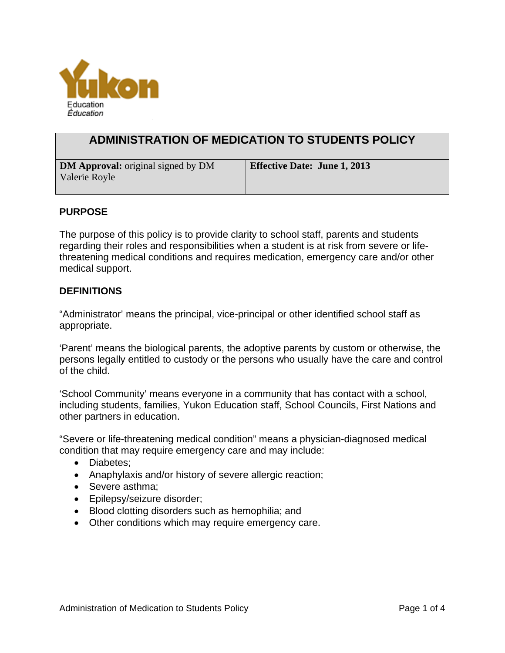

# **ADMINISTRATION OF MEDICATION TO STUDENTS POLICY**

| <b>DM Approval:</b> original signed by DM | <b>Effective Date: June 1, 2013</b> |
|-------------------------------------------|-------------------------------------|
| Valerie Royle                             |                                     |

#### **PURPOSE**

The purpose of this policy is to provide clarity to school staff, parents and students regarding their roles and responsibilities when a student is at risk from severe or lifethreatening medical conditions and requires medication, emergency care and/or other medical support.

#### **DEFINITIONS**

"Administrator' means the principal, vice-principal or other identified school staff as appropriate.

'Parent' means the biological parents, the adoptive parents by custom or otherwise, the persons legally entitled to custody or the persons who usually have the care and control of the child.

'School Community' means everyone in a community that has contact with a school, including students, families, Yukon Education staff, School Councils, First Nations and other partners in education.

"Severe or life-threatening medical condition" means a physician-diagnosed medical condition that may require emergency care and may include:

- Diabetes;
- Anaphylaxis and/or history of severe allergic reaction;
- Severe asthma;
- Epilepsy/seizure disorder;
- Blood clotting disorders such as hemophilia; and
- Other conditions which may require emergency care.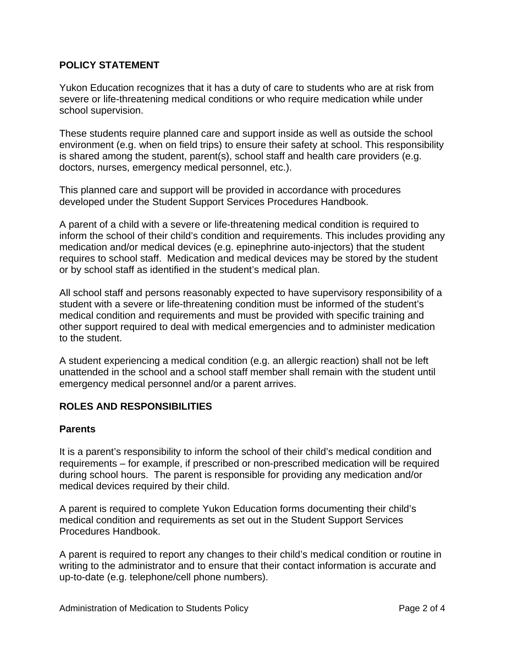## **POLICY STATEMENT**

Yukon Education recognizes that it has a duty of care to students who are at risk from severe or life-threatening medical conditions or who require medication while under school supervision.

These students require planned care and support inside as well as outside the school environment (e.g. when on field trips) to ensure their safety at school. This responsibility is shared among the student, parent(s), school staff and health care providers (e.g. doctors, nurses, emergency medical personnel, etc.).

This planned care and support will be provided in accordance with procedures developed under the Student Support Services Procedures Handbook.

A parent of a child with a severe or life-threatening medical condition is required to inform the school of their child's condition and requirements. This includes providing any medication and/or medical devices (e.g. epinephrine auto-injectors) that the student requires to school staff. Medication and medical devices may be stored by the student or by school staff as identified in the student's medical plan.

All school staff and persons reasonably expected to have supervisory responsibility of a student with a severe or life-threatening condition must be informed of the student's medical condition and requirements and must be provided with specific training and other support required to deal with medical emergencies and to administer medication to the student.

A student experiencing a medical condition (e.g. an allergic reaction) shall not be left unattended in the school and a school staff member shall remain with the student until emergency medical personnel and/or a parent arrives.

## **ROLES AND RESPONSIBILITIES**

## **Parents**

It is a parent's responsibility to inform the school of their child's medical condition and requirements – for example, if prescribed or non-prescribed medication will be required during school hours. The parent is responsible for providing any medication and/or medical devices required by their child.

A parent is required to complete Yukon Education forms documenting their child's medical condition and requirements as set out in the Student Support Services Procedures Handbook.

A parent is required to report any changes to their child's medical condition or routine in writing to the administrator and to ensure that their contact information is accurate and up-to-date (e.g. telephone/cell phone numbers).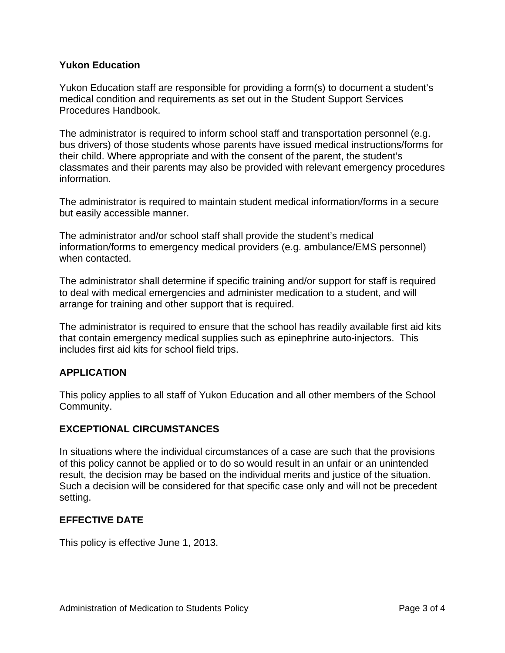## **Yukon Education**

Yukon Education staff are responsible for providing a form(s) to document a student's medical condition and requirements as set out in the Student Support Services Procedures Handbook.

The administrator is required to inform school staff and transportation personnel (e.g. bus drivers) of those students whose parents have issued medical instructions/forms for their child. Where appropriate and with the consent of the parent, the student's classmates and their parents may also be provided with relevant emergency procedures information.

The administrator is required to maintain student medical information/forms in a secure but easily accessible manner.

The administrator and/or school staff shall provide the student's medical information/forms to emergency medical providers (e.g. ambulance/EMS personnel) when contacted.

The administrator shall determine if specific training and/or support for staff is required to deal with medical emergencies and administer medication to a student, and will arrange for training and other support that is required.

The administrator is required to ensure that the school has readily available first aid kits that contain emergency medical supplies such as epinephrine auto-injectors. This includes first aid kits for school field trips.

## **APPLICATION**

This policy applies to all staff of Yukon Education and all other members of the School Community.

## **EXCEPTIONAL CIRCUMSTANCES**

In situations where the individual circumstances of a case are such that the provisions of this policy cannot be applied or to do so would result in an unfair or an unintended result, the decision may be based on the individual merits and justice of the situation. Such a decision will be considered for that specific case only and will not be precedent setting.

#### **EFFECTIVE DATE**

This policy is effective June 1, 2013.